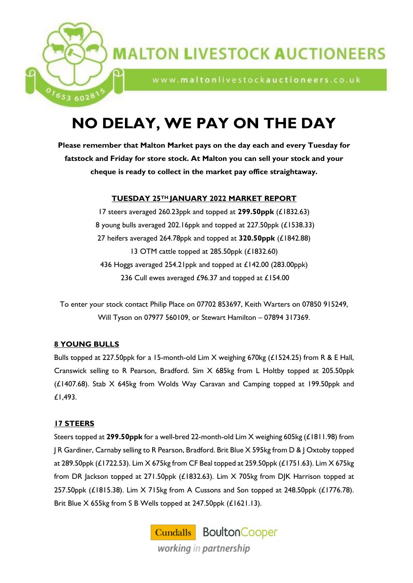

www.maltonlivestockauctioneers.co.uk

# **NO DELAY, WE PAY ON THE DAY**

**Please remember that Malton Market pays on the day each and every Tuesday for fatstock and Friday for store stock. At Malton you can sell your stock and your cheque is ready to collect in the market pay office straightaway.**

## **TUESDAY 25TH JANUARY 2022 MARKET REPORT**

 steers averaged 260.23ppk and topped at **299.50ppk** (£1832.63) young bulls averaged 202.16ppk and topped at 227.50ppk (£1538.33) heifers averaged 264.78ppk and topped at **320.50ppk** (£1842.88) OTM cattle topped at 285.50ppk (£1832.60) 436 Hoggs averaged 254.21ppk and topped at £142.00 (283.00ppk) 236 Cull ewes averaged £96.37 and topped at £154.00

To enter your stock contact Philip Place on 07702 853697, Keith Warters on 07850 915249, Will Tyson on 07977 560109, or Stewart Hamilton – 07894 317369.

## **8 YOUNG BULLS**

653 6028

Bulls topped at 227.50ppk for a 15-month-old Lim X weighing 670kg (£1524.25) from R & E Hall, Cranswick selling to R Pearson, Bradford. Sim X 685kg from L Holtby topped at 205.50ppk (£1407.68). Stab X 645kg from Wolds Way Caravan and Camping topped at 199.50ppk and £1,493.

## **17 STEERS**

Steers topped at **299.50ppk** for a well-bred 22-month-old Lim X weighing 605kg (£1811.98) from J R Gardiner, Carnaby selling to R Pearson, Bradford. Brit Blue X 595kg from D & J Oxtoby topped at 289.50ppk (£1722.53). Lim X 675kg from CF Beal topped at 259.50ppk (£1751.63). Lim X 675kg from DR Jackson topped at 271.50ppk (£1832.63). Lim X 705kg from DJK Harrison topped at 257.50ppk (£1815.38). Lim X 715kg from A Cussons and Son topped at 248.50ppk (£1776.78). Brit Blue X 655kg from S B Wells topped at 247.50ppk (£1621.13).

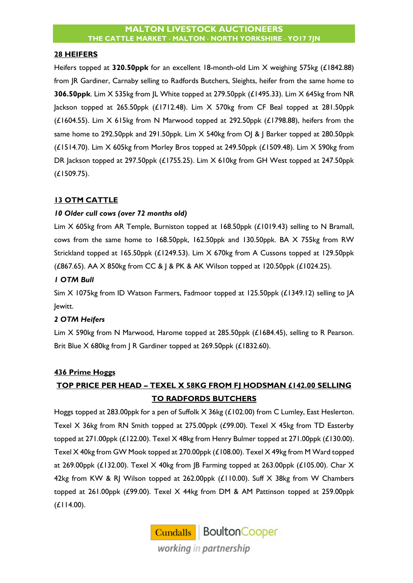#### **28 HEIFERS**

Heifers topped at **320.50ppk** for an excellent 18-month-old Lim X weighing 575kg (£1842.88) from JR Gardiner, Carnaby selling to Radfords Butchers, Sleights, heifer from the same home to **306.50ppk**. Lim X 535kg from JL White topped at 279.50ppk (£1495.33). Lim X 645kg from NR Jackson topped at 265.50ppk  $(E1712.48)$ . Lim X 570kg from CF Beal topped at 281.50ppk ( $£1604.55$ ). Lim  $X$  615kg from N Marwood topped at 292.50ppk ( $£1798.88$ ), heifers from the same home to 292.50ppk and 291.50ppk. Lim X 540kg from O| & | Barker topped at 280.50ppk (£1514.70). Lim X 605kg from Morley Bros topped at 249.50ppk (£1509.48). Lim X 590kg from DR Jackson topped at 297.50ppk (£1755.25). Lim X 610kg from GH West topped at 247.50ppk (£1509.75).

## **13 OTM CATTLE**

## *10 Older cull cows (over 72 months old)*

Lim X 605kg from AR Temple, Burniston topped at 168.50ppk (£1019.43) selling to N Bramall, cows from the same home to 168.50ppk, 162.50ppk and 130.50ppk. BA X 755kg from RW Strickland topped at 165.50ppk (£1249.53). Lim X 670kg from A Cussons topped at 129.50ppk (£867.65). AA X 850kg from CC & J & PK & AK Wilson topped at 120.50ppk (£1024.25).

## *1 OTM Bull*

Sim X 1075kg from ID Watson Farmers, Fadmoor topped at 125.50ppk (£1349.12) selling to JA Jewitt.

## *2 OTM Heifers*

Lim X 590kg from N Marwood, Harome topped at 285.50ppk (£1684.45), selling to R Pearson. Brit Blue X 680kg from | R Gardiner topped at 269.50ppk (£1832.60).

## **436 Prime Hoggs**

## **TOP PRICE PER HEAD – TEXEL X 58KG FROM FJ HODSMAN £142.00 SELLING TO RADFORDS BUTCHERS**

Hoggs topped at 283.00ppk for a pen of Suffolk X 36kg (£102.00) from C Lumley, East Heslerton. Texel X 36kg from RN Smith topped at 275.00ppk (£99.00). Texel X 45kg from TD Easterby topped at 271.00ppk (£122.00). Texel X 48kg from Henry Bulmer topped at 271.00ppk (£130.00). Texel X 40kg from GW Mook topped at 270.00ppk (£108.00). Texel X 49kg from M Ward topped at 269.00ppk (£132.00). Texel X 40kg from JB Farming topped at 263.00ppk (£105.00). Char X 42kg from KW & RJ Wilson topped at 262.00ppk (£110.00). Suff X 38kg from W Chambers topped at 261.00ppk (£99.00). Texel X 44kg from DM & AM Pattinson topped at 259.00ppk (£114.00).

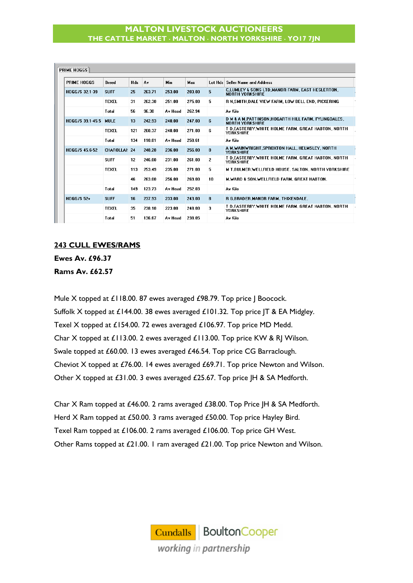| <b>PRIME HOGGS</b>    | <b>Breed</b>  | <b>Hds</b> | . Av   | <b>Min</b> | Max    | Lot Hds | <b>Seller Name and Address</b>                                             |  |
|-----------------------|---------------|------------|--------|------------|--------|---------|----------------------------------------------------------------------------|--|
| HOGG/S 32.1-39        | <b>SUFF</b>   | 25         | 263.71 | 253.00     | 283.00 | 5       | C,LUMLEY & SONS LTD, MANOR FARM, EAST HESLERTON,<br><b>NORTH YORKSHIRE</b> |  |
|                       | <b>TEXEL</b>  | 31         | 262.30 | 251.00     | 275.00 | 5.      | R N.SMITH.DALE VIEW FARM. LOW BELL END. PICKERING                          |  |
|                       | Total         | 56         | 96.30  | Av Head    | 262.94 |         | Av Kilo                                                                    |  |
| HOGG/S 39.1-45.5 MULE |               | 13         | 242.93 | 240.00     | 247.00 | 6       | D M & A M, PATTINSON, HOGARTH HILL FARM, FYLINGDALES,<br>NORTH YORKSHIRE   |  |
|                       | <b>TEXEL</b>  | 121        | 260.37 | 248.00     | 271.00 | 6       | T D.EASTERBY.WHITE HOLME FARM. GREAT HABTON. NORTH<br><b>YORKSHIRE</b>     |  |
|                       | Total         | 134        | 110.01 | Av Head    | 258.61 |         | Av Kilo                                                                    |  |
| <b>HOGG/S 45.6-52</b> | CHAROLLAI: 24 |            | 248.28 | 236.00     | 256.00 | 8       | A M.WAINWRIGHT.SPROXTON HALL, HELMSLEY, NORTH<br><b>YORKSHIRE</b>          |  |
|                       | <b>SUFF</b>   | 12         | 246.00 | 231.00     | 261.00 | 2       | T D,EASTERBY,WHITE HOLME FARM, GREAT HABTON, NORTH<br><b>YORKSHIRE</b>     |  |
|                       | <b>TEXEL</b>  | 113        | 253.49 | 235.00     | 271.00 | 5.      | M T.BULMER.WELLFIELD HOUSE. SALTON. NORTH YORKSHIRE                        |  |
|                       |               | 46         | 263.00 | 256.00     | 269.00 | 10      | M.WARD & SON, WELLFIELD FARM, GREAT HABTON,                                |  |
|                       | Total         | 149        | 123.73 | Av Head    | 252.03 |         | Av Kilo                                                                    |  |
| $H066/552+$           | <b>SUFF</b>   | 16         | 237.93 | 233.00     | 243.00 | 8       | R G.BRADER.MANOR FARM. THIXENDALE.                                         |  |
|                       | <b>TEXEL</b>  | 35         | 238.10 | 223.00     | 248.00 | з       | T D.EASTERBY.WHITE HOLME FARM. GREAT HABTON. NORTH<br><b>YOBKSHIRF</b>     |  |
|                       | Total         | 51         | 136.67 | Av Head    | 238.05 |         | Av Kilo                                                                    |  |

#### **243 CULL EWES/RAMS**

**Ewes Av. £96.37 Rams Av. £62.57**

Mule X topped at £118.00. 87 ewes averaged £98.79. Top price J Boocock. Suffolk X topped at £144.00. 38 ewes averaged £101.32. Top price JT & EA Midgley. Texel X topped at £154.00. 72 ewes averaged £106.97. Top price MD Medd. Char X topped at £113.00. 2 ewes averaged £113.00. Top price KW & RJ Wilson. Swale topped at £60.00. 13 ewes averaged £46.54. Top price CG Barraclough. Cheviot X topped at £76.00. 14 ewes averaged £69.71. Top price Newton and Wilson. Other X topped at £31.00. 3 ewes averaged £25.67. Top price JH & SA Medforth.

Char X Ram topped at £46.00. 2 rams averaged £38.00. Top Price JH & SA Medforth. Herd X Ram topped at £50.00. 3 rams averaged £50.00. Top price Hayley Bird. Texel Ram topped at £106.00. 2 rams averaged £106.00. Top price GH West. Other Rams topped at £21.00. 1 ram averaged £21.00. Top price Newton and Wilson.

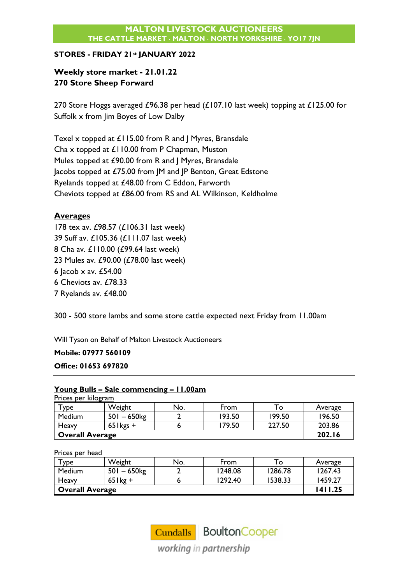## **STORES - FRIDAY 21st JANUARY 2022**

## **Weekly store market - 21.01.22 270 Store Sheep Forward**

270 Store Hoggs averaged £96.38 per head (£107.10 last week) topping at £125.00 for Suffolk x from Jim Boyes of Low Dalby

Texel x topped at £115.00 from R and J Myres, Bransdale Cha x topped at £110.00 from P Chapman, Muston Mules topped at £90.00 from R and J Myres, Bransdale Jacobs topped at £75.00 from JM and JP Benton, Great Edstone Ryelands topped at £48.00 from C Eddon, Farworth Cheviots topped at £86.00 from RS and AL Wilkinson, Keldholme

## **Averages**

 tex av. £98.57 (£106.31 last week) Suff av. £105.36 (£111.07 last week) Cha av. £110.00 (£99.64 last week) Mules av. £90.00 (£78.00 last week)  $lacob \times av.$  £54.00 6 Cheviots av. £78.33 7 Ryelands av. £48.00

300 - 500 store lambs and some store cattle expected next Friday from 11.00am

Will Tyson on Behalf of Malton Livestock Auctioneers

**Mobile: 07977 560109**

## **Office: 01653 697820**

## **Young Bulls – Sale commencing – 11.00am**

|                        | Prices per kilogram |     |        |        |         |  |  |  |  |
|------------------------|---------------------|-----|--------|--------|---------|--|--|--|--|
| $\tau$ ype             | Weight              | No. | From   | То     | Average |  |  |  |  |
| Medium                 | $501 - 650$         |     | 193.50 | 199.50 | 196.50  |  |  |  |  |
| Heavy                  | $65$ kgs +          |     | 179.50 | 227.50 | 203.86  |  |  |  |  |
| <b>Overall Average</b> |                     |     |        |        | 202.16  |  |  |  |  |

Prices per head

| $\tau_{\texttt{VDe}}$ | Weight         | No. | From    | To      | Average |
|-----------------------|----------------|-----|---------|---------|---------|
| Medium                | $501 - 650$ kg |     | 1248.08 | 1286.78 | 1267.43 |
| Heavy                 | $65$ lkg +     |     | 1292.40 | 1538.33 | 1459.27 |
| Overall Average       | 1411.25        |     |         |         |         |

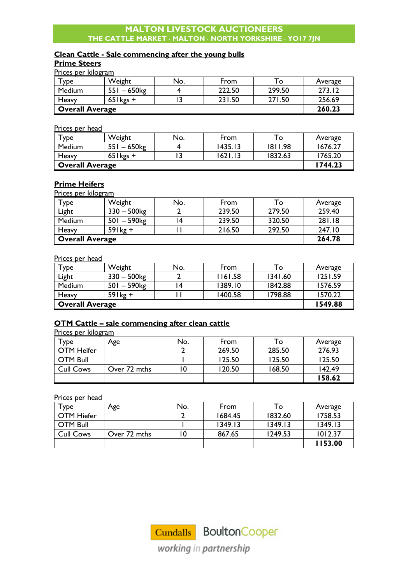## **Clean Cattle - Sale commencing after the young bulls**

## **Prime Steers**

Prices per kilogram

| <b>y</b> De            | Weight      | No. | From   | O      | Average |
|------------------------|-------------|-----|--------|--------|---------|
| Medium                 | $551 - 650$ |     | 222.50 | 299.50 | 273.12  |
| Heavy                  | $65$ lkgs + |     | 231.50 | 271.50 | 256.69  |
| <b>Overall Average</b> |             |     |        |        | 260.23  |

Prices per head

| $T$ ype                | Weight       | No. | From    | то      | Average |
|------------------------|--------------|-----|---------|---------|---------|
| Medium                 | $551 - 650$  |     | 1435.13 | 1811.98 | 1676.27 |
| Heavy                  | $65$ l kgs + |     | 1621.13 | 1832.63 | 1765.20 |
| <b>Overall Average</b> | 1744.23      |     |         |         |         |

#### **Prime Heifers**

Prices per kilogram

| Туре                   | Weight                    | No. | From   | To:    | Average |
|------------------------|---------------------------|-----|--------|--------|---------|
| Light                  | $330 - 500$ <sub>kg</sub> |     | 239.50 | 279.50 | 259.40  |
| Medium                 | $501 - 590$ <sub>kg</sub> |     | 239.50 | 320.50 | 281.18  |
| Heavy                  | $59$ lkg +                |     | 216.50 | 292.50 | 247.10  |
| <b>Overall Average</b> |                           |     |        |        | 264.78  |

#### Prices per head

| Type   | Weight         | No.                    | From    | To      | Average |  |  |
|--------|----------------|------------------------|---------|---------|---------|--|--|
| Light  | $330 - 500$ kg |                        | 1161.58 | 1341.60 | 1251.59 |  |  |
| Medium | $501 - 590$ kg | 4                      | 1389.10 | 1842.88 | 1576.59 |  |  |
| Heavy  | $59$ lkg +     |                        | 1400.58 | 1798.88 | 1570.22 |  |  |
|        |                | <b>Overall Average</b> |         |         |         |  |  |

## **OTM Cattle – sale commencing after clean cattle**

Prices per kilogram

| $\mathsf{vpe}$    | Age          | No. | From   | To     | Average |
|-------------------|--------------|-----|--------|--------|---------|
| <b>OTM Heifer</b> |              |     | 269.50 | 285.50 | 276.93  |
| <b>OTM Bull</b>   |              |     | 125.50 | 125.50 | 125.50  |
| <b>Cull Cows</b>  | Over 72 mths | 0   | 120.50 | 168.50 | 142.49  |
|                   |              |     |        |        | 158.62  |

Prices per head

| Type              | Age          | No. | From    | To      | Average |
|-------------------|--------------|-----|---------|---------|---------|
| <b>OTM Hiefer</b> |              |     | 1684.45 | 1832.60 | 1758.53 |
| <b>OTM Bull</b>   |              |     | 1349.13 | 1349.13 | 1349.13 |
| <b>Cull Cows</b>  | Over 72 mths | ۱0  | 867.65  | 1249.53 | 1012.37 |
|                   |              |     |         |         | 153.00  |

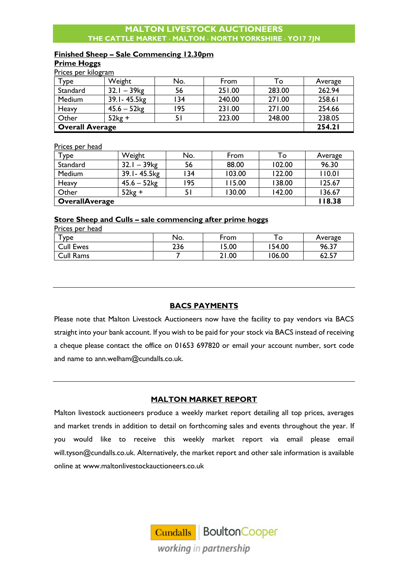## **Finished Sheep – Sale Commencing 12.30pm**

#### **Prime Hoggs**

| Prices per kilogram    |                           |     |        |        |         |
|------------------------|---------------------------|-----|--------|--------|---------|
| Type                   | Weight                    | No. | From   | To     | Average |
| Standard               | $32.1 - 39$ <sub>kg</sub> | 56  | 251.00 | 283.00 | 262.94  |
| Medium                 | 39.1-45.5kg               | 134 | 240.00 | 271.00 | 258.61  |
| Heavy                  | $45.6 - 52$               | 195 | 231.00 | 271.00 | 254.66  |
| Other                  | $52kg +$                  |     | 223.00 | 248.00 | 238.05  |
| <b>Overall Average</b> |                           |     |        |        | 254.21  |

Prices per head

| $T$ ype               | Weight                    | No. | From   | То     | Average |
|-----------------------|---------------------------|-----|--------|--------|---------|
| Standard              | $32.1 - 39$ <sub>kg</sub> | 56  | 88.00  | 102.00 | 96.30   |
| Medium                | 39.1 - 45.5 kg            | 34  | 103.00 | 122.00 | 110.01  |
| Heavy                 | $45.6 - 52$ kg            | 195 | 115.00 | 138.00 | 125.67  |
| Other                 | $52kg +$                  |     | 130.00 | 142.00 | 136.67  |
| <b>OverallAverage</b> |                           |     |        |        | 118.38  |

#### **Store Sheep and Culls – sale commencing after prime hoggs**

| Prices per head  |     |       |         |         |
|------------------|-----|-------|---------|---------|
| <b>y</b> pe      | No. | From  | $\circ$ | Average |
| <b>Cull Ewes</b> | 236 | 5.00  | 154.00  | 96.37   |
| <b>Cull Rams</b> |     | 21.00 | 106.00  | 62.57   |

## **BACS PAYMENTS**

Please note that Malton Livestock Auctioneers now have the facility to pay vendors via BACS straight into your bank account. If you wish to be paid for your stock via BACS instead of receiving a cheque please contact the office on 01653 697820 or email your account number, sort code and name to [ann.welham@cundalls.co.uk.](mailto:ann.welham@cundalls.co.uk)

## **MALTON MARKET REPORT**

Malton livestock auctioneers produce a weekly market report detailing all top prices, averages and market trends in addition to detail on forthcoming sales and events throughout the year. If you would like to receive this weekly market report via email please email [will.tyson@cundalls.co.uk.](mailto:will.tyson@cundalls.co.uk) Alternatively, the market report and other sale information is available online at [www.maltonlivestockauctioneers.co.uk](http://www.maltonlivestockauctioneers.co.uk/)

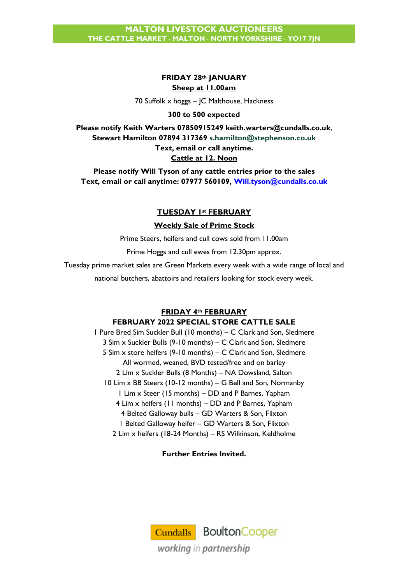## **FRIDAY 28th JANUARY Sheep at 11.00am**

70 Suffolk x hoggs – JC Malthouse, Hackness

#### **300 to 500 expected**

**Please notify Keith Warters 07850915249 [keith.warters@cundalls.co.uk](mailto:keith.warters@cundalls.co.uk)**, **Stewart Hamilton 07894 317369 [s.hamilton@stephenson.co.uk](mailto:s.hamilton@stephenson.co.uk) Text, email or call anytime. Cattle at 12. Noon**

**Please notify Will Tyson of any cattle entries prior to the sales Text, email or call anytime: 07977 560109, [Will.tyson@cundalls.co.uk](mailto:Will.tyson@cundalls.co.uk)**

## **TUESDAY 1st FEBRUARY**

#### **Weekly Sale of Prime Stock**

Prime Steers, heifers and cull cows sold from 11.00am

Prime Hoggs and cull ewes from 12.30pm approx.

Tuesday prime market sales are Green Markets every week with a wide range of local and

national butchers, abattoirs and retailers looking for stock every week.

#### **FRIDAY 4th FEBRUARY**

#### **FEBRUARY 2022 SPECIAL STORE CATTLE SALE**

1 Pure Bred Sim Suckler Bull (10 months) – C Clark and Son, Sledmere 3 Sim x Suckler Bulls (9-10 months) – C Clark and Son, Sledmere 5 Sim x store heifers (9-10 months) – C Clark and Son, Sledmere All wormed, weaned, BVD tested/free and on barley 2 Lim x Suckler Bulls (8 Months) – NA Dowsland, Salton 10 Lim x BB Steers (10-12 months) – G Bell and Son, Normanby 1 Lim x Steer (15 months) – DD and P Barnes, Yapham 4 Lim x heifers (11 months) – DD and P Barnes, Yapham 4 Belted Galloway bulls – GD Warters & Son, Flixton 1 Belted Galloway heifer – GD Warters & Son, Flixton 2 Lim x heifers (18-24 Months) – RS Wilkinson, Keldholme

## **Further Entries Invited.**